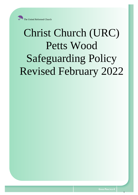

The United Reformed Church

# Christ Church (URC) Petts Wood Safeguarding Policy Revised February 2022



1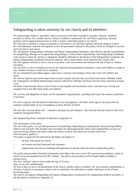### Safeguarding is taken seriously by our church and its members.

We acknowledge children's and adults' right to protection from abuse regardless of gender, ethnicity, disability, sexuality or beliefs. We consider that the welfare of children is paramount. We will follow legislation, statutory guidance and recognised good practice in order to protect vulnerable people in our church.

We will seek to establish a caring environment in which there is an informed vigilance about the dangers of abuse. We will implement, maintain and regularly review the procedures outlined in this policy, which are designed to prevent and to be alert to such abuse.

We will appoint a Safeguarding Coordinator and Deputy Safeguarding Coordinator, who will have specific responsibilities for safeguarding, although we recognise that safeguarding is a whole church responsibility. The Safeguarding Coordinator is the person to whom all concerns or allegations should be addressed. In the absence of the Safeguarding Coordinator, the Deputy Safeguarding Coordinator should be contacted. Their contact details can be found in Key Contacts, P6/7.

We will organise activities in such a way as to promote a safe environment and minimise the risk of harm to children and adults.

We will follow a safe recruitment process for the selection and appointment of people to work with children or adults at risk, whether voluntary or paid, lay or ordained.

We are committed to providing support, supervision, resources and training to those who work with children and adults.

We will use rigorous and careful supervision to protect people from the risks associated with known offenders within the congregation, including implementing contracts with known offenders and those who have been assessed as posing a risk.

We believe that domestic abuse in all its forms is unacceptable and inconsistent with a Christian way of living and recognise that it can affect both adults and children.

All concerns and allegations of abuse will be responded to appropriately, including referring to the statutory authorities if necessary.

We will co-operate with the statutory authorities in any investigation, will follow multi-agency decisions and will maintain confidentiality of any investigations to those directly involved.

We will refer concerns about staff – volunteers and paid, lay and ordained – that meet the relevant criteria to the Local Authority Designated Officer.

Our *Safeguarding Policy Statement* is attached as Appendix A1.

Aim and purpose of this policy

The aim of this policy is to provide procedures for promoting safeguarding, preventing abuse and protecting children, adults at risk and staff. This includes clear procedures for taking appropriate action when safeguarding concerns are raised involving children and adults within our church, or those who attend our activities and events. Who this policy applies to

This policy is approved and endorsed by the Elders and applies to:

- all those who attend our church
- our trustees and staff (both paid and voluntary)
- organisations who hire our building with agreement to operate under the church safeguarding policy

The policy and procedures should be interpreted in the light of the most recent URC good practice guidance, copies of which can be downloaded from the URC website. The policy and procedures will be made readily available to parents/carers.

The term 'children' refers to those under the age of 18 years.

Duty of care and confidentiality

We have a duty of care to all beneficiaries of the church, whether adults or children. We will maintain confidentiality at all times, except in circumstances where to do so would place the individual or another individual at risk of harm. Preventing abuse

The church will appoint Safeguarding and Deputy Safeguarding Coordinator(s) for safeguarding children and adults. A job description is attached as Appendix A2.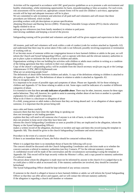Activities will be organised in accordance with URC good practice guidelines so as to promote a safe environment and healthy relationships, whilst minimising opportunities for harm, misunderstanding or false accusation. For each event, risk assessments will be carried out, appropriate consent forms will be used (for children's activities), appropriate records will be kept and adequate insurance will be in place.

We are committed to safe recruitment and selection of all paid staff and volunteers and will ensure that these procedures are followed, which include:

providing workers with job descriptions or person specifications

obtaining Disclosure and Barring Service (DBS) / Protecting Vulnerable Groups scheme (PVG) checks wherever legally entitled to do so

taking up two references (not from family members) in relation to paid posts

interviewing candidates and keeping a record of the process

Safeguarding training will be provided and volunteers and paid staff will be given support and supervision in their role.

All trustees, paid staff and volunteers will work within a code of conduct (code for workers attached as Appendix A3) and understand that there may be action taken if this code is not followed, possibly involving suspension or termination of working with us.

If we become aware of someone within our congregation known to have harmed children or adults in the past, we will inform the Church and Synod Safeguarding Officer, and co-operate with them and the relevant statutory authorities to put in place a plan to minimise the risk of harm to children and adults.

Organisations wishing to hire our building for activities with children or adults must confirm in writing as a condition of the letting agreement that they conform to their own safeguarding policy.

Copy of the church's safeguarding policy will be available from the church secretary [sec@ccpw.org.uk](mailto:sec@ccpw.org.uk) or the Lettings Administrator CCPW\_BR51LH@hotmail.com

What are we protecting people from?

The definitions of abuse differ between children and adults. A copy of the definitions relating to children is attached to this policy at Appendix A4. The definitions of abuse in relation to adults is attached as Appendix A5.

How to recognise abuse

It is important to be aware of possible signs and symptoms of abuse. Please see Appendix A6 for those relating to children and Appendix A7 for those relating to adults at risk. Some signs could be indicators of a number of different categories of abuse.

It is essential to note that these **are only indicators of possible abuse**. There may be other, innocent, reasons for these signs and/or behaviour. They will, however, be a guide to assist in assessing whether abuse of one form or another is a possible explanation for a child or adult's behaviour.

What to do if there is a disclosure or allegation of abuse

If a child, young person or adult makes a disclosure that they are being abused and / or an allegation of abuse against someone, it is important that the person being told:

stays calm and listens carefully

reassures them that they have done the right thing in speaking out

does not investigate or ask leading questions

explains that they will need to tell someone else if anyone is at risk of harm, in order to help them

does not promise to keep secret what they have been told

informs the church Safeguarding Coordinator as soon as possible (if they are implicated in the allegation, inform the Deputy or the Synod Safeguarding Officer)

makes a written record of the allegation, disclosure or incident and signs and dates this record (using the template in Appendix A8). This should be given to the church Safeguarding Coordinator and stored securely.

Procedure in the event of a concern of abuse

If there is an immediate threat of harm, the Police should be contacted without delay.

Where it is judged that there is no immediate threat of harm the following will occur:

The concern should be discussed with the Church Safeguarding Coordinator and a decision made as to whether the concern warrants a referral to statutory authorities (see Key Contacts, P7 for the relevant statutory contacts) A confidential record will be made of the conversation and the circumstances surrounding it using the template at Appendix A8. This record will be kept securely within the Minister's office, and a copy passed to statutory authorities if a referral is made

The person about whom the allegation is made must not be informed by anyone in the church if it is judged that to do so could place a child or adult at increased risk. If the statutory authorities are involved, they should be consulted beforehand

The Synod Safeguarding Officer should be kept informed of any serious concerns

If someone in the church is alleged or known to have harmed children or adults we will inform the Synod Safeguarding Officer so that they can offer advice and support, and we will contact the relevant statutory authority. If the allegation is regarding a church staff member or volunteer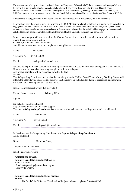For any concerns relating to children, the Local Authority Designated Officer (LADO) should be contacted through Children's Services. The timing and method of any action to be taken will be discussed and agreed with them. This will cover communication with the worker, suspension, investigation and possible strategy meetings. A decision will be taken by the LADO about when to inform the worker and the church will follow this advice. For contact details, see Key Contacts, P7  $\&$  8.

For concerns relating to adults, Adult Social Care will be contacted. See Key Contacts, P7 and 8 for details.

In accordance with the law, a referral will be made to the DBS / PVG if the church withdraws permission for an individual to engage in work with children / adults at risk OR would have done so had that individual not resigned, retired, been made redundant or been transferred to a position because the employer believes that the individual has engaged in relevant conduct, satisfied the harm test or committed an offence that would lead to automatic inclusion on a barred list.

In such cases, a report will also be made to the Charity Commission, as they deem such a referral to be a 'serious incident' and requires notification.

Concerns, Complaints and Compliments

Should anyone have any concerns, complaints or compliments please contact:

| Name         | John Powell             |
|--------------|-------------------------|
| Telephone No | 07711 161890            |
| Email        | trackspeed1@hotmail.com |

It would be helpful to have complaints in writing, as this avoids any possible misunderstanding about what the issue is. However, whether verbal or in writing, complaints will be acted upon.

Any written complaint will be responded to within 10 days.

Review

The Safeguarding Coordinator, and his/her deputy, along with the Children's and Youth Ministry Working Group, will inform the Elders having reviewed this policy at least annually, amending and updating it as required, and informing the next Church Meeting that this has been done.

Date of the most recent review: February 2022

| Date of the next review: | February 2023 |
|--------------------------|---------------|
|                          |               |

Signed:

(on behalf of the church Elders) Key Contacts: Sources of advice and support The church **Safeguarding Coordinator** is the person to whom all concerns or allegations should be addressed:

| Name         | John Powell             |
|--------------|-------------------------|
| Telephone No | 07711 161890            |
| Email        | trackspeed1@hotmail.com |

In the absence of the Safeguarding Coordinator, the **Deputy Safeguarding Coordinator** can be contacted:

Name Katherine Copley

Telephone No 07729 215674

Email kat@copley.online

#### **SOUTHERN SYNOD Southern Synod Safeguarding Officer** is Belinda Nielson Email: safeguarding@urcsouthern.org.uk

Tel.: 07716 640596

#### **Southern Synod Safeguarding Link Persons: Adults:**

1. The Revd Colin Telfer – Email[: colintelfer@uwclub.net](mailto:colintelfer@uwclub.net) phone: 01843 448 705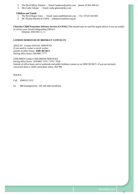- 2. The Revd Hilary Nabarro Email[: hnabarro@yahoo.com](mailto:hnabarro@yahoo.com) phone: 01303 268 621
- 3. Mrs Cathy Glazier Email: [cathy.glazier@sky.com](mailto:cathy.glazier@sky.com)

#### **Children and Youth:**

- 1. The Revd Roger Jones Email: [jones.ra@btinternet.com](mailto:jones.ra@btinternet.com)  Tel.: 07525 410 083
- 2. Mr Thomas Hackett (CYDO) [cydo@urcsouthern.org.uk](mailto:cydo@urcsouthern.org.uk)

**Churches Child Protection Advisory Service (CCPAS)** (This should only be used for urgent advice if you are unable to contact your Synod Safeguarding Officer)

Helpline: 0303 003 11 11

#### **LONDON BOROUGH OF BROMLEY CONTACTS**

ADULTS: Contact SOCIAL SERVICES If you need to contact a social worker outside of office hours: **0300 303 8671**. During office hours: 020 8461 7777

CHILDREN Contact CHILDRENS SERVICES

During office hours: 020 8461 7373 / 7379 / 7026. Outside of office hours and at weekends and public holidays contact us on 0300 303 8671. If you are seriously concerned about a child's immediate safety, dial 999.

#### POLICE

Call 0300123 1212

Or 999 (emergencies) / 101 (all other incidents)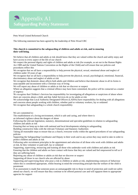### Appendix A1 **Safeguarding Policy Statement**

#### Petts Wood United Reformed Church

The following statement has been agreed by the leadership of Petts Wood URC

#### **This church is committed to the safeguarding of children and adults at risk, and to ensuring their well-being.**

We believe that all children and adults at risk should know that they are valued within the church and safely enjoy and have access to every aspect of the life of our church

We respect the personal dignity and rights of children and adults at risk (for example, as set out in the Human Rights Act 1989 and the United Nations Convention on the Rights of the Child) and will ensure that our policies and procedures reflect this

We recognise that we all have a responsibility to help prevent the physical, sexual, emotional abuse and neglect of children under 18 years of age

We recognise that we all have a responsibility to help prevent the physical, sexual, psychological, emotional, financial, discriminatory abuse and neglect of adults at risk

We recognise that domestic abuse affects both adults and children and believe that domestic abuse in all its forms is unacceptable and inconsistent with a Christian way of living

We will report any abuse of children or adults at risk that we discover or suspect

Where an allegation suggests that a criminal offence may have been committed, the police will be contacted as a matter of urgency

We recognise that Children's Services has responsibility for investigating all allegations or suspicions of abuse where there are concerns about a child, and that Adult Services do so for adults at risk

We acknowledge that Local Authority Designated Officers (LADOs) have responsibility for dealing with all allegations and concerns about people working with children, whether paid or voluntary workers, lay or ordained We recognise that safeguarding is a whole church responsibility

We are committed to:

The establishment of a loving environment, which is safe and caring, and where there is

an informed vigilance about the dangers of abuse

Following the relevant legislation, statutory, denominational and specialist guidelines in relation to safeguarding children and adults at risk

Ensuring that we keep up to date with national and local developments relating to safeguarding

Building constructive links with the relevant Voluntary and Statutory Authorities

Taking all reasonable steps to ensure that as a church, everyone works within the agreed procedures of our safeguarding policies

Supporting the Safeguarding Coordinator and Deputy in their work and in any action they may need to take in order to protect children and adults at risk

Following safer recruitment principles in the appointment and selection of all those who work with children and adults at risk, be they volunteer or paid staff, lay or ordained

Supporting, supervising, resourcing and training all those who undertake work with children and adults at risk Ensuring that the children and adults we have contact with know that they are valued and feel empowered to tell us if they are suffering harm

Reporting any abuse of children or adults at risk that we discover or suspect

Supporting all those in our church who are affected by abuse

Supporting and supervising those who pose a risk to children or adults at risk, implementing contracts of behaviour where this is considered appropriate, whilst bearing in mind the overarching principle that the welfare of the child is paramount

If an assessment is made that someone poses an unmanageable risk to those in need of protection and could not safely attend our church, we will ensure that they continue to be offered pastoral care and will signpost them to appropriate agencies for support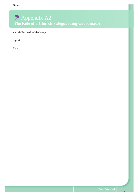### Appendix A2 **The Role of a Church Safeguarding Coordinator**

(on behalf of the church leadership)

Signed:

Date: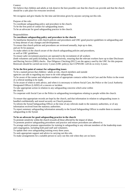#### **Context**

We believe that children and adults at risk deserve the best possible care that the church can provide and that the church should be a safe place for everyone involved.

We recognise and give thanks for the time and devotion given by anyone carrying out this role.

Purpose of the role:

To coordinate safeguarding policy and procedure in the church.

To be the first point of contact for safeguarding issues.

To be an advocate for good safeguarding practice in the church.

#### Responsibilities

#### **To coordinate safeguarding policy and procedure in the church**

To familiarise themselves with church policies and procedures and URC good practice guidelines in safeguarding and to keep abreast of any changes and developments.

To ensure that church policies and procedures are reviewed annually, kept up to date,

and are fit for purpose.

To make others in the church aware of the church safeguarding policies and procedures,

as well as URC guidelines.

To ensure safer recruitment practices are operated in the recruitment of all workers

(both volunteers and paid) including, but not exclusively, ensuring that the relevant workers have up to date Disclosure and Barring Service (DBS) checks. Due Diligence Checking (DCC) are the agency used by the URC for this purpose. Renewals should be carried out every 5 years (URC policy), but CCPWURC will do so every 4 years.

#### **To be the first point of contact for safeguarding issues**

To be a named person that children / adults at risk, church members and outside

agencies can talk to regarding any issue to do with safeguarding.

To be aware of the names and telephone numbers of appropriate contacts within Social Care and the Police in the event of a referral needing to be made.

To be aware of when to seek advice, and when it is necessary to inform Social Care, the Police or the Local Authority Designated Officer (LADO) of a concern or incident.

To take appropriate action in relation to any safeguarding concerns which arise within

the church.

To cooperate with Social Care or the Police in safeguarding investigations relating to people within the church.

To ensure that appropriate records are kept by the church, and that information in relation to safeguarding issues is handled confidentially and stored securely on Church premises.

To inform the Synod Safeguarding Officer at the time of any referrals made to the statutory authorities, or of any information received from the statutory authorities.

To report summary safeguarding information annually to the Synod Safeguarding Officer to enable them to monitor safeguarding in the Synod.

#### **To be an advocate for good safeguarding practice in the church**

To promote sensitivity within the church towards all those affected by the impact of abuse.

To promote positive safeguarding procedures and practice and ensure procedures are adhered to.

To arrange and/or promote opportunities for training in safeguarding to any relevant members of the leadership team and congregation, including both paid staff and volunteers.

To update their own safeguarding training every three years.

To seek appropriate support and advice in carrying out this role.

To make arrangements for a suitable person to carry out this role when they are on leave.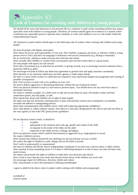### **b** Appendix A3 **Code of Conduct for working with children or young people**

We should all be aware that behaviour in the personal life of a volunteer or paid worker (including online) may impact upon their work with children or young people. Therefore, all workers should agree not to behave in a manner which would lead any reasonable person to question their suitability to work with children or act as a role model within the United Reformed Church.

All volunteers or paid workers should agree to the following code of conduct when working with children and young people:

Do treat all people with dignity and respect

Don't abuse the power and responsibility of your role. Don't belittle, scapegoat, put down, or ridicule a child or young person (even in 'fun') and don't use language or behaviour with sexual connotations (e.g. flirting or innuendo) Do act inclusively, seeking to make everyone feel welcome and valued

Don't exclude other children or workers from conversations and activities unless there is a good reason

Do treat people with equal care and concern

Don't show favouritism (e.g. in selection for activities, in giving rewards, etc) or encourage excessive attention from a particular child (e.g. gifts)

Do encourage everyone to follow any behaviour agreement or ground rules and apply sanctions consistently Don't threaten or use sanctions which have not been agreed, or make empty threats

Do refer to a more senior worker if a child does not respond to your instructions despite encouragement and warning of possible consequences

Don't feel you have to deal with every problem on your own

Do seek to diffuse aggressive or threatening behaviour without the use of physical contact

Don't use physical restraint except as a last resort to prevent injury. You should never use any more force than is absolutely necessary

Do relate to children in public. If a child wants to talk one-to-one about an issue, tell another worker and find somewhere quieter, but still public, to talk

Don't spend time alone with children out of sight of other people

Do make sure that any electronic communication is done with parental consent and is transparent, accountable, recorded and adheres to safeguarding policies

Don't keep communication with children secret, while still respecting appropriate confidences

Don't take photos or videos without consent, store them in a safe place designated by the church and only use them in the ways agreed, in line with URC good practice guidelines

Do use physical contact wisely; it should be:

- in public
- appropriate to the situation and to the age, gender and culture of the child
- in response to the needs of the child, not the adult
	- respectful of the child's privacy, feelings and dignity

Don't use physical contact which could be misconstrued as aggressive (e.g. rough games) or sexual Do respect children's privacy

Don't assume that children should tell you anything you ask just because you are a worker

Do respect the right of children to wash, change and use the toilet in private

Don't walk in unnecessarily or unannounced

Do listen to children and tell the church Safeguarding Coordinator if you have any concerns about a child's welfare Don't promise to keep something secret if it is about a child being harmed or at risk of harm, but only tell those who need to know

Do respect and promote the rights of children to make their own decisions and choices

Don't work in ways that put your needs and interests before those of the children you work with

Do encourage respect for difference, diversity, beliefs and culture

Don't discriminate or leave discrimination or bullying unchallenged

I agree to abide by the above code of conduct while working with children and young people

on behalf of [church name]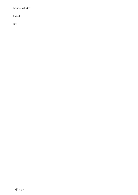| Signed: |  |
|---------|--|
| Date:   |  |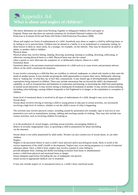### **Appendix A4 What is abuse and neglect of children?**

The below definitions are taken from Working Together to Safeguard Children 2013 and apply to England. Please note that there are national variations for Scotland (National Guidance for Child Protection in Scotland 2014) and Wales (All Wales Child Protection Procedures 2008).

Abuse and neglect are forms of maltreatment of a child. Somebody may abuse or neglect a child by inflicting harm, or by failing to act to prevent harm. Children may be abused in a family or in an institutional or community setting, by those known to them or, more rarely, by a stranger, for example, via the internet. They may be abused by an adult or adults, or another child or children.

Physical abuse

Physical abuse may involve hitting, shaking, throwing, poisoning, burning or scalding, drowning, suffocating, or otherwise causing physical harm to a child. Physical harm may also be caused

when a parent or carer fabricates the symptoms of, or deliberately induces, illness in a child. Emotional abuse

Emotional abuse is the persistent emotional maltreatment of a child such as to cause severe and persistent adverse effects on the child's emotional development.

It may involve conveying to a child that they are worthless or unloved, inadequate, or valued only insofar as they meet the needs of another person. It may include not giving the child opportunities to express their views, deliberately silencing them or 'making fun' of what they say or how they communicate. It may feature age or developmentally inappropriate expectations being imposed on children. These may include interactions that are beyond the child's developmental capability, as well as overprotection and limitation of exploration and learning, or preventing the child from participating in normal social interaction. It may involve seeing or hearing the ill-treatment of another. It may involve serious bullying (including cyber-bullying), causing children frequently to feel frightened or in danger, or the exploitation or corruption of children.

Some level of emotional abuse is involved in all types of maltreatment of a child, though it may occur alone. Sexual abuse

Sexual abuse involves forcing or enticing a child or young person to take part in sexual activities, not necessarily involving a high level of violence, whether or not the child is aware of what is happening.

The activities may involve physical contact, including assault by penetration (for example, rape or oral sex) or nonpenetrative acts such as masturbation, kissing, rubbing and touching outside of clothing. They may also include noncontact activities, such as involving children in looking at,

or in the production of, sexual images, watching sexual activities, encouraging children to behave in sexually inappropriate ways, or grooming a child in preparation for abuse (including via the internet).

Sexual abuse is not solely perpetrated by adult males. Women can also commit acts of sexual abuse, as can other children.

Neglect

Neglect is the persistent failure to meet a child's basic physical and/or psychological needs, likely to result in the serious impairment of the child's health or development. Neglect may occur during pregnancy as a result of maternal substance abuse. Once a child is born, neglect may involve a parent or carer failing to: provide adequate food, clothing and shelter (including exclusion from home or abandonment) protect a child from physical and emotional harm or danger ensure adequate supervision (including the use of inadequate care-givers)

ensure access to appropriate medical care or treatment

It may also include neglect of, or unresponsiveness to, a child's basic emotional needs.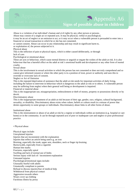$\lambda$  Appendix A6 **Signs of possible abuse in children** 

Abuse is a violation of an individual's human and civil rights by any other person or persons. Abuse may consist of a single act or repeated acts. It may be physical, verbal or psychological, it may be an act of neglect or an omission to act, or it may occur when a vulnerable person is persuaded to enter into a financial or sexual transaction to which he or she has not consented,

or cannot consent. Abuse can occur in any relationship and may result in significant harm to,

or exploitation of, the person subjected to it.

Physical abuse

This is the infliction of pain or physical injury, which is either caused deliberately, or through lack of care.

Psychological or emotional abuse

These are acts or behaviour, which cause mental distress or anguish or negate the wishes of the adult at risk. It is also behaviour that has a harmful effect on the adult at risk's emotional health and development or any other form of mental cruelty.

#### Sexual abuse

This is the involvement in sexual activities to which the person has not consented or does not truly comprehend and so cannot give informed consent or where the other party is in a position of trust, power or authority and uses this to override or overcome lack of consent.

#### Neglect or Act of Omission

This is the repeated deprivation of assistance that the adult at risk needs for important activities of daily living, including the failure to intervene in behaviour which is dangerous to the adult at risk or to others. A vulnerable person may be suffering from neglect when their general well being or development is impaired.

Financial or material abuse

This is the inappropriate use, misappropriation, embezzlement or theft of money, property or possessions directly or by deceit.

Discriminatory abuse

This is the inappropriate treatment of an adult at risk because of their age, gender, race, religion, cultural background, sexuality, or disability. Discriminatory abuse exists when values, beliefs or culture result in a misuse of power that denies opportunity to some groups or individuals. Discriminatory abuse links to all other forms of abuse.

#### Institutional abuse

This is the mistreatment or abuse of an adult at risk by a regime or individuals within an institution (e.g. hospital or care home) or in the community. It can be through repeated acts of poor or inadequate care and neglect or poor professional practice.

• Physical abuse

Physical signs include: Unexplained injuries Injuries that are inconsistent with the explanation Injuries that reflect an article being used e.g. an iron Bruising, especially the trunk, upper arm, shoulders, neck or finger tip bruising Burns/scalds, especially from a cigarette Human bite marks Fractures, especially spiral Swelling and lack of normal use of limbs Serious injury with lack of / inconsistent explanation Untreated injuries Psychological/emotional signs include: Unusually fearful with adults Unnaturally compliant to parents Refusal to discuss injuries/fear of medical help Withdrawal from physical contact Aggression towards others Wears cover up clothing Factitious illness by proxy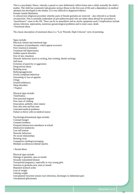This is a psychiatric illness, whereby a parent or carer deliberately inflicts harm onto a child, normally the child's mother. The child has commonly had genuine serious illness in the first year of life and a dependency on medical attention has developed in the mother. It is very difficult to diagnose/evidence. Female Genital Mutilation

A cultural (not religious) procedure whereby parts of female genitalia are removed – also referred to as female circumcision. This is normally undertaken on pre-pubescent girls who are either taken abroad for procedure or "practitioners" come to the UK. There can be no anaesthetic and no sterile equipment used. Complications include serious infection, septicaemia, numerous gynaecological problems and in some cases, death.

• Emotional abuse

The classic description of emotional abuse is a "Low Warmth, High Criticism" style of parenting.

Signs include: Physical, mental and emotional lags Acceptance of punishments, which appear excessive Over reaction to mistakes Continual self-depreciation Sudden speech disorders Fear of new situations Neurotic behaviour (such as rocking, hair twisting, thumb sucking) Self harm Extremes of passivity or aggression Drug/solvent abuse Running away Bullying/aggression Overly compliant behaviour Overeating or loss of appetite Clingy Fearful/withdrawn Sleep disorders • Neglect

Physical signs include: Tired/listless Poor personal hygiene Poor state of clothing Emaciation, potbelly, short stature Poor skin tone and hair tone Untreated medical problems Failure to thrive with no medical reason

Psychological/emotional signs include: Constant hunger Constant tiredness Frequent lateness/non attendance at school Destructive tendencies Low self esteem Neurotic behaviour No social relationships Running away Compulsive stealing/scavenging Multiple accidents/accidental injuries

#### • Sexual abuse

Physical signs include: Damage to genitalia, anus or mouth Sexually transmitted disease Unexpected pregnancy, especially in very young girls Soreness to genitalia area, anus or mouth Repeated stomach aches Loss of weight Gaining weight Unexplained recurrent urinary tract infections, discharges or abdominal pain Unexplained gifts/money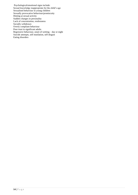Psychological/emotional signs include: Sexual knowledge inappropriate for the child's age Sexualised behaviour in young children Sexually provocative behaviour/promiscuity Hinting at sexual activity Sudden changes in personality Lack of concentration, restlessness Socially withdrawn Overly compliant behaviour Poor trust in significant adults Regressive behaviour, onset of wetting – day or night Suicide attempts, self mutilation, self disgust Eating disorders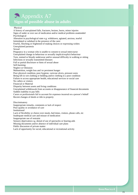### 2 Appendix A7 **Signs of possible abuse in adults**

#### Physical

A history of unexplained falls, fractures, bruises, burns, minor injuries Signs of under or over use of medication and/or medical problems unattended Psychological Alteration in psychological state e.g. withdrawn, agitated, anxious, tearful Intimidated or subdued in the presence of the carer Fearful, flinching or frightened of making choices or expressing wishes Unexplained paranoia Sexual Pregnancy in a woman who is unable to consent to sexual intercourse Unexplained change in behaviour or sexually implicit/explicit behaviour Torn, stained or bloody underwear and/or unusual difficulty in walking or sitting Infections or sexually transmitted diseases Full or partial disclosure or hints of sexual abuse Self-harming Neglect or Omission Malnutrition, weight loss and /or persistent hunger Poor physical condition, poor hygiene, varicose ulcers, pressure sores Being left in wet clothing or bedding and/or clothing in a poor condition Failure to access appropriate health, educational services or social care No callers or visitors Financial or Material Disparity between assets and living conditions Unexplained withdrawals from accounts or disappearance of financial documents Sudden inability to pay bills Carers or professionals fail to account for expenses incurred on a person's behalf Recent changes of deeds or title to property Discriminatory Inappropriate remarks, comments or lack of respect Poor quality or avoidance of care Institutional Lack of flexibility or choice over meals, bed times, visitors, phone calls, etc

Inadequate medical care and misuse of medication

Inappropriate use of restraint

Sensory deprivation e.g. denial of use of spectacles or hearing aids

Missing documents and/or absence of individual care plans

Public discussion of private matter

Lack of opportunity for social, educational or recreational activity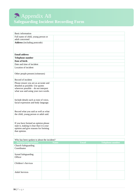## 2 Appendix A8 **Safeguarding Incident Recording Form**

| <b>Basic</b> information                                                          |  |  |
|-----------------------------------------------------------------------------------|--|--|
| Full name of child, young person or<br>adult concerned                            |  |  |
| <b>Address</b> (including postcode)                                               |  |  |
|                                                                                   |  |  |
|                                                                                   |  |  |
| <b>Email address</b>                                                              |  |  |
| <b>Telephone number</b>                                                           |  |  |
| Date of birth                                                                     |  |  |
| Date and time of incident                                                         |  |  |
| Location of incident                                                              |  |  |
| Other people present (witnesses)                                                  |  |  |
| Record of incident                                                                |  |  |
| Please ensure you are as accurate and                                             |  |  |
| detailed as possible. Use quotes                                                  |  |  |
| wherever possible $-$ do not interpret<br>what was said using your own words.     |  |  |
|                                                                                   |  |  |
|                                                                                   |  |  |
| Include details such as tone of voice,                                            |  |  |
| facial expression and body language.                                              |  |  |
|                                                                                   |  |  |
| Record what you said as well as what                                              |  |  |
| the child, young person or adult said.                                            |  |  |
|                                                                                   |  |  |
|                                                                                   |  |  |
| If you have formed an opinion please                                              |  |  |
| state it, making it clear that it is your<br>opinion and give reasons for forming |  |  |
| that opinion.                                                                     |  |  |
|                                                                                   |  |  |

| Who has been spoken to about the incident? |             |              |                         |  |  |
|--------------------------------------------|-------------|--------------|-------------------------|--|--|
| <b>Position/Organisation</b>               | <b>Name</b> | <b>Email</b> | <b>Telephone number</b> |  |  |
| <b>Church Safeguarding</b><br>Coordinator  |             |              |                         |  |  |
| <b>Synod Safeguarding</b><br>Officer       |             |              |                         |  |  |
| Children's Services                        |             |              |                         |  |  |
| <b>Adult Services</b>                      |             |              |                         |  |  |